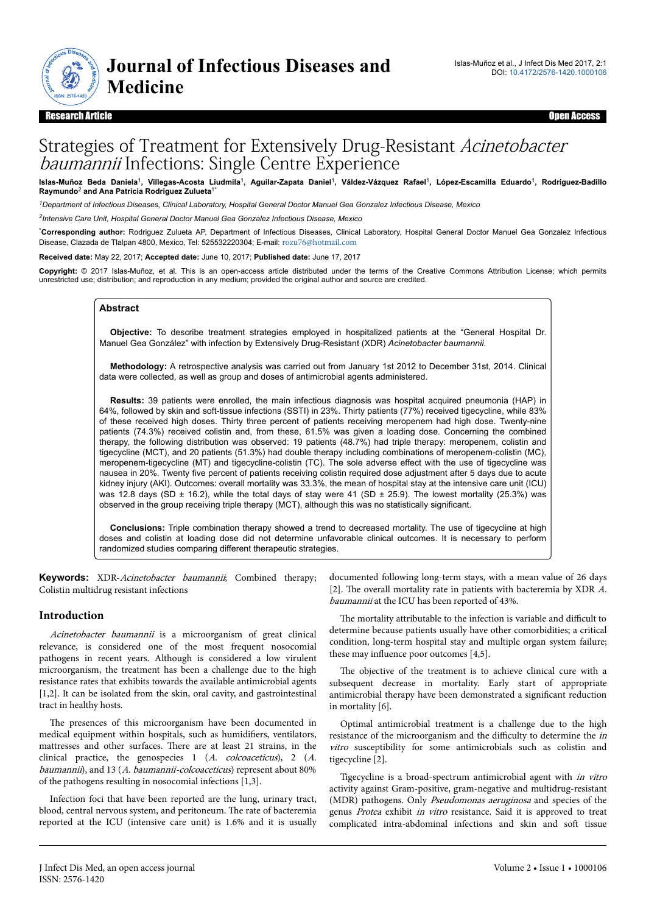

#### Research Article Open Access

# Strategies of Treatment for Extensively Drug-Resistant Acinetobacter baumannii Infections: Single Centre Experience

Islas-Muñoz Beda Daniela<sup>1</sup>, Villegas-Acosta Liudmila<sup>1</sup>, Aguilar-Zapata Daniel<sup>1</sup>, Váldez-Vázquez Rafael<sup>1</sup>, López-Escamilla Eduardo<sup>1</sup>, Rodríguez-Badillo<br>Raymundo<sup>2</sup> and Ana Patricia Rodriguez Zulueta<sup>1\*</sup>

*<sup>1</sup>Department of Infectious Diseases, Clinical Laboratory, Hospital General Doctor Manuel Gea Gonzalez Infectious Disease, Mexico*

*2 Intensive Care Unit, Hospital General Doctor Manuel Gea Gonzalez Infectious Disease, Mexico*

\***Corresponding author:** Rodriguez Zulueta AP, Department of Infectious Diseases, Clinical Laboratory, Hospital General Doctor Manuel Gea Gonzalez Infectious Disease, Clazada de Tlalpan 4800, Mexico, Tel: 525532220304; E-mail: [rozu76@hotmail.com](mailto:rozu76@hotmail.com)

**Received date:** May 22, 2017; **Accepted date:** June 10, 2017; **Published date:** June 17, 2017

**Copyright:** © 2017 Islas-Muñoz, et al. This is an open-access article distributed under the terms of the Creative Commons Attribution License; which permits unrestricted use; distribution; and reproduction in any medium; provided the original author and source are credited.

#### **Abstract**

**Objective:** To describe treatment strategies employed in hospitalized patients at the "General Hospital Dr. Manuel Gea González" with infection by Extensively Drug-Resistant (XDR) *Acinetobacter baumannii*.

**Methodology:** A retrospective analysis was carried out from January 1st 2012 to December 31st, 2014. Clinical data were collected, as well as group and doses of antimicrobial agents administered.

**Results:** 39 patients were enrolled, the main infectious diagnosis was hospital acquired pneumonia (HAP) in 64%, followed by skin and soft-tissue infections (SSTI) in 23%. Thirty patients (77%) received tigecycline, while 83% of these received high doses. Thirty three percent of patients receiving meropenem had high dose. Twenty-nine patients (74.3%) received colistin and, from these, 61.5% was given a loading dose. Concerning the combined therapy, the following distribution was observed: 19 patients (48.7%) had triple therapy: meropenem, colistin and tigecycline (MCT), and 20 patients (51.3%) had double therapy including combinations of meropenem-colistin (MC), meropenem-tigecycline (MT) and tigecycline-colistin (TC). The sole adverse effect with the use of tigecycline was nausea in 20%. Twenty five percent of patients receiving colistin required dose adjustment after 5 days due to acute kidney injury (AKI). Outcomes: overall mortality was 33.3%, the mean of hospital stay at the intensive care unit (ICU) was 12.8 days (SD  $\pm$  16.2), while the total days of stay were 41 (SD  $\pm$  25.9). The lowest mortality (25.3%) was observed in the group receiving triple therapy (MCT), although this was no statistically significant.

**Conclusions:** Triple combination therapy showed a trend to decreased mortality. The use of tigecycline at high doses and colistin at loading dose did not determine unfavorable clinical outcomes. It is necessary to perform randomized studies comparing different therapeutic strategies.

Keywords: XDR-Acinetobacter baumannii; Combined therapy; Colistin multidrug resistant infections

### **Introduction**

Acinetobacter baumannii is a microorganism of great clinical relevance, is considered one of the most frequent nosocomial pathogens in recent years. Although is considered a low virulent microorganism, the treatment has been a challenge due to the high resistance rates that exhibits towards the available antimicrobial agents [1,2]. It can be isolated from the skin, oral cavity, and gastrointestinal tract in healthy hosts.

The presences of this microorganism have been documented in medical equipment within hospitals, such as humidifiers, ventilators, mattresses and other surfaces. Нere are at least 21 strains, in the clinical practice, the genospecies 1 (A. colcoaceticus), 2 (A. baumannii), and 13 (A. baumannii-colcoaceticus) represent about 80% of the pathogens resulting in nosocomial infections [1,3].

Infection foci that have been reported are the lung, urinary tract, blood, central nervous system, and peritoneum. Нe rate of bacteremia reported at the ICU (intensive care unit) is 1.6% and it is usually documented following long-term stays, with a mean value of 26 days [2]. The overall mortality rate in patients with bacteremia by XDR A. baumannii at the ICU has been reported of 43%.

The mortality attributable to the infection is variable and difficult to determine because patients usually have other comorbidities; a critical condition, long-term hospital stay and multiple organ system failure; these may influence poor outcomes [4,5].

The objective of the treatment is to achieve clinical cure with a subsequent decrease in mortality. Early start of appropriate antimicrobial therapy have been demonstrated a significant reduction in mortality [6].

Optimal antimicrobial treatment is a challenge due to the high resistance of the microorganism and the difficulty to determine the in vitro susceptibility for some antimicrobials such as colistin and tigecycline [2].

Tigecycline is a broad-spectrum antimicrobial agent with in vitro activity against Gram-positive, gram-negative and multidrug-resistant (MDR) pathogens. Only Pseudomonas aeruginosa and species of the genus Protea exhibit in vitro resistance. Said it is approved to treat complicated intra-abdominal infections and skin and soft tissue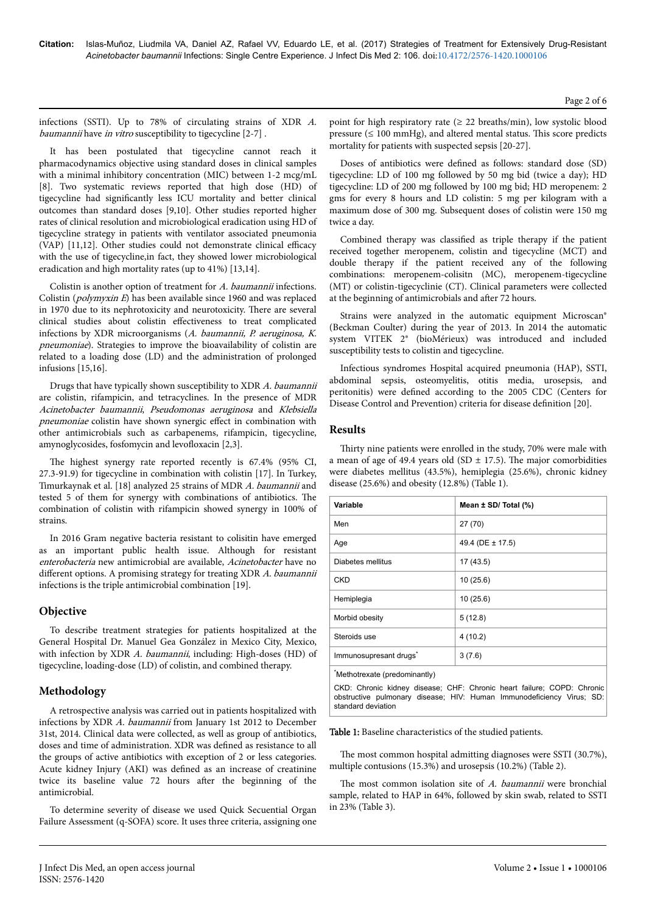infections (SSTI). Up to 78% of circulating strains of XDR A. baumannii have in vitro susceptibility to tigecycline [2-7].

It has been postulated that tigecycline cannot reach it pharmacodynamics objective using standard doses in clinical samples with a minimal inhibitory concentration (MIC) between 1-2 mcg/mL [8]. Two systematic reviews reported that high dose (HD) of tigecycline had significantly less ICU mortality and better clinical outcomes than standard doses [9,10]. Other studies reported higher rates of clinical resolution and microbiological eradication using HD of tigecycline strategy in patients with ventilator associated pneumonia (VAP)  $[11,12]$ . Other studies could not demonstrate clinical efficacy with the use of tigecycline,in fact, they showed lower microbiological eradication and high mortality rates (up to 41%) [13,14].

Colistin is another option of treatment for A. baumannii infections. Colistin (polymyxin E) has been available since 1960 and was replaced in 1970 due to its nephrotoxicity and neurotoxicity. Нere are several clinical studies about colistin effectiveness to treat complicated infections by XDR microorganisms (A. baumannii, P. aeruginosa, K. pneumoniae). Strategies to improve the bioavailability of colistin are related to a loading dose (LD) and the administration of prolonged infusions [15,16].

Drugs that have typically shown susceptibility to XDR A. baumannii are colistin, rifampicin, and tetracyclines. In the presence of MDR Acinetobacter baumannii, Pseudomonas aeruginosa and Klebsiella pneumoniae colistin have shown synergic effect in combination with other antimicrobials such as carbapenems, rifampicin, tigecycline, amynoglycosides, fosfomycin and levofloxacin [2,3].

The highest synergy rate reported recently is 67.4% (95% CI, 27.3-91.9) for tigecycline in combination with colistin [17]. In Turkey, Timurkaynak et al. [18] analyzed 25 strains of MDR A. baumannii and tested 5 of them for synergy with combinations of antibiotics. Нe combination of colistin with rifampicin showed synergy in 100% of strains.

In 2016 Gram negative bacteria resistant to colisitin have emerged as an important public health issue. Although for resistant enterobacteria new antimicrobial are available, Acinetobacter have no different options. A promising strategy for treating XDR A. baumannii infections is the triple antimicrobial combination [19].

## **Objective**

To describe treatment strategies for patients hospitalized at the General Hospital Dr. Manuel Gea González in Mexico City, Mexico, with infection by XDR A. baumannii, including: High-doses (HD) of tigecycline, loading-dose (LD) of colistin, and combined therapy.

## **Methodology**

A retrospective analysis was carried out in patients hospitalized with infections by XDR A. baumannii from January 1st 2012 to December 31st, 2014. Clinical data were collected, as well as group of antibiotics, doses and time of administration. XDR was defined as resistance to all the groups of active antibiotics with exception of 2 or less categories. Acute kidney Injury (AKI) was defined as an increase of creatinine twice its baseline value 72 hours after the beginning of the antimicrobial.

To determine severity of disease we used Quick Secuential Organ Failure Assessment (q-SOFA) score. It uses three criteria, assigning one point for high respiratory rate ( $\geq$  22 breaths/min), low systolic blood pressure  $( \leq 100 \text{ mmHg})$ , and altered mental status. This score predicts mortality for patients with suspected sepsis [20-27].

Doses of antibiotics were defined as follows: standard dose (SD) tigecycline: LD of 100 mg followed by 50 mg bid (twice a day); HD tigecycline: LD of 200 mg followed by 100 mg bid; HD meropenem: 2 gms for every 8 hours and LD colistin: 5 mg per kilogram with a maximum dose of 300 mg. Subsequent doses of colistin were 150 mg twice a day.

Combined therapy was classified as triple therapy if the patient received together meropenem, colistin and tigecycline (MCT) and double therapy if the patient received any of the following combinations: meropenem-colisitn (MC), meropenem-tigecycline (MT) or colistin-tigecyclinie (CT). Clinical parameters were collected at the beginning of antimicrobials and after 72 hours.

Strains were analyzed in the automatic equipment Microscan® (Beckman Coulter) during the year of 2013. In 2014 the automatic system VITEK 2® (bioMérieux) was introduced and included susceptibility tests to colistin and tigecycline.

Infectious syndromes Hospital acquired pneumonia (HAP), SSTI, abdominal sepsis, osteomyelitis, otitis media, urosepsis, and peritonitis) were defined according to the 2005 CDC (Centers for Disease Control and Prevention) criteria for disease definition [20].

## **Results**

Thirty nine patients were enrolled in the study, 70% were male with a mean of age of 49.4 years old (SD  $\pm$  17.5). The major comorbidities were diabetes mellitus (43.5%), hemiplegia (25.6%), chronic kidney disease (25.6%) and obesity (12.8%) (Table 1).

| Variable                                                                                                                                                              | Mean ± SD/ Total (%) |  |
|-----------------------------------------------------------------------------------------------------------------------------------------------------------------------|----------------------|--|
| Men                                                                                                                                                                   | 27 (70)              |  |
| Age                                                                                                                                                                   | 49.4 (DE ± 17.5)     |  |
| Diabetes mellitus                                                                                                                                                     | 17 (43.5)            |  |
| CKD                                                                                                                                                                   | 10 (25.6)            |  |
| Hemiplegia                                                                                                                                                            | 10 (25.6)            |  |
| Morbid obesity                                                                                                                                                        | 5(12.8)              |  |
| Steroids use                                                                                                                                                          | 4(10.2)              |  |
| Immunosupresant drugs <sup>*</sup>                                                                                                                                    | 3(7.6)               |  |
| Methotrexate (predominantly)                                                                                                                                          |                      |  |
| CKD: Chronic kidney disease; CHF: Chronic heart failure; COPD: Chronic<br>obstructive pulmonary disease; HIV: Human Immunodeficiency Virus; SD:<br>standard deviation |                      |  |

#### Table 1: Baseline characteristics of the studied patients.

The most common hospital admitting diagnoses were SSTI (30.7%), multiple contusions (15.3%) and urosepsis (10.2%) (Table 2).

The most common isolation site of A. baumannii were bronchial sample, related to HAP in 64%, followed by skin swab, related to SSTI in 23% (Table 3).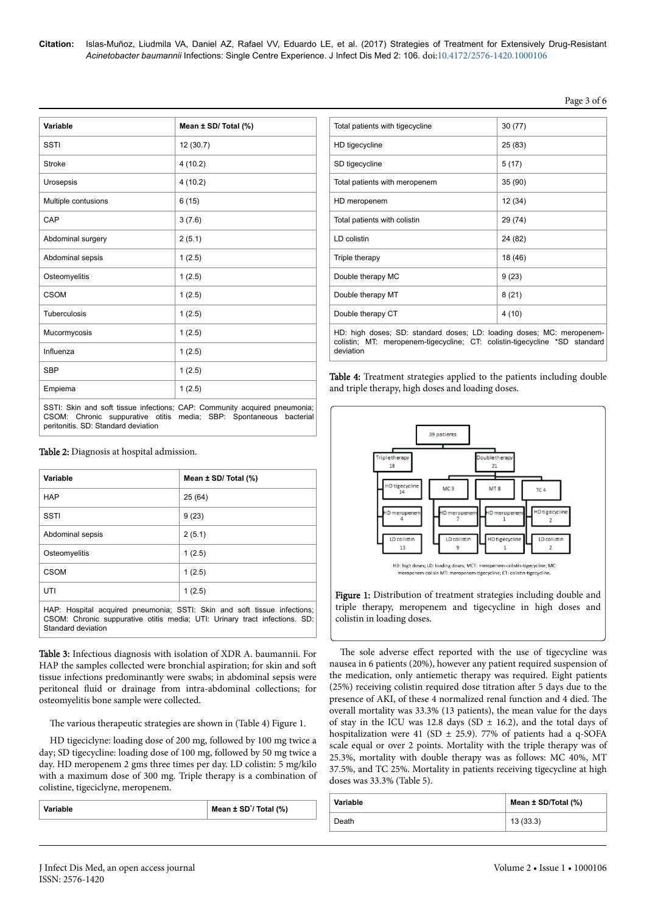**Citation:** Islas-Muñoz, Liudmila VA, Daniel AZ, Rafael VV, Eduardo LE, et al. (2017) Strategies of Treatment for Extensively Drug-Resistant *Acinetobacter baumannii* Infections: Single Centre Experience. J Infect Dis Med 2: 106. doi:10.4172/2576-1420.1000106

| ΩT<br>าо<br>n<br>$\mathbf{r}$ |  |
|-------------------------------|--|
|-------------------------------|--|

| Variable                                                                                                                                                                                     | Mean ± SD/ Total (%) |
|----------------------------------------------------------------------------------------------------------------------------------------------------------------------------------------------|----------------------|
| SSTI                                                                                                                                                                                         | 12 (30.7)            |
| Stroke                                                                                                                                                                                       | 4(10.2)              |
| Urosepsis                                                                                                                                                                                    | 4(10.2)              |
| Multiple contusions                                                                                                                                                                          | 6(15)                |
| CAP                                                                                                                                                                                          | 3(7.6)               |
| Abdominal surgery                                                                                                                                                                            | 2(5.1)               |
| Abdominal sepsis                                                                                                                                                                             | 1(2.5)               |
| Osteomyelitis                                                                                                                                                                                | 1(2.5)               |
| CSOM                                                                                                                                                                                         | 1(2.5)               |
| Tuberculosis                                                                                                                                                                                 | 1(2.5)               |
| Mucormycosis                                                                                                                                                                                 | 1(2.5)               |
| Influenza                                                                                                                                                                                    | 1(2.5)               |
| <b>SBP</b>                                                                                                                                                                                   | 1(2.5)               |
| Empiema                                                                                                                                                                                      | 1(2.5)               |
| SSTI: Skin and soft tissue infections; CAP: Community acquired pneumonia;<br>CSOM: Chronic suppurative otitis<br>media; SBP: Spontaneous<br>bacterial<br>peritonitis. SD: Standard deviation |                      |

| Table 2: Diagnosis at hospital admission. |  |  |
|-------------------------------------------|--|--|
|-------------------------------------------|--|--|

| Variable                                                                                                                                               | Mean $\pm$ SD/ Total (%) |  |
|--------------------------------------------------------------------------------------------------------------------------------------------------------|--------------------------|--|
| <b>HAP</b>                                                                                                                                             | 25(64)                   |  |
| SSTI                                                                                                                                                   | 9(23)                    |  |
| Abdominal sepsis                                                                                                                                       | 2(5.1)                   |  |
| Osteomyelitis                                                                                                                                          | 1(2.5)                   |  |
| CSOM                                                                                                                                                   | 1(2.5)                   |  |
| UTI                                                                                                                                                    | 1(2.5)                   |  |
| HAP: Hospital acquired pneumonia; SSTI: Skin and soft tissue infections;<br>CSOM: Chronic suppurative otitis media; UTI: Urinary tract infections. SD: |                          |  |

Standard deviation Table 3: Infectious diagnosis with isolation of XDR A. baumannii. For

HAP the samples collected were bronchial aspiration; for skin and soft tissue infections predominantly were swabs; in abdominal sepsis were peritoneal fluid or drainage from intra-abdominal collections; for osteomyelitis bone sample were collected.

The various therapeutic strategies are shown in (Table 4) Figure 1.

HD tigeciclyne: loading dose of 200 mg, followed by 100 mg twice a day; SD tigecycline: loading dose of 100 mg, followed by 50 mg twice a day. HD meropenem 2 gms three times per day. LD colistin: 5 mg/kilo with a maximum dose of 300 mg. Triple therapy is a combination of colistine, tigeciclyne, meropenem.

**Variable Mean ± SD**\* **/ Total (%)**

|                                                                       | HD tigecycline                | 25 (83) |
|-----------------------------------------------------------------------|-------------------------------|---------|
|                                                                       | SD tigecycline                | 5(17)   |
|                                                                       | Total patients with meropenem | 35(90)  |
|                                                                       | HD meropenem                  | 12 (34) |
|                                                                       | Total patients with colistin  | 29 (74) |
|                                                                       | LD colistin                   | 24 (82) |
|                                                                       | Triple therapy                | 18 (46) |
|                                                                       | Double therapy MC             | 9(23)   |
|                                                                       | Double therapy MT             | 8(21)   |
|                                                                       | Double therapy CT             | 4(10)   |
| HD: high doses; SD: standard doses; LD: loading doses; MC: meropenem- |                               |         |

Total patients with tigecycline  $\vert$  30 (77)

colistin; MT: meropenem-tigecycline; CT: colistin-tigecycline \*SD standard deviation

Table 4: Treatment strategies applied to the patients including double and triple therapy, high doses and loading doses.



Figure 1: Distribution of treatment strategies including double and triple therapy, meropenem and tigecycline in high doses and colistin in loading doses.

The sole adverse effect reported with the use of tigecycline was nausea in 6 patients (20%), however any patient required suspension of the medication, only antiemetic therapy was required. Eight patients (25%) receiving colistin required dose titration after 5 days due to the presence of AKI, of these 4 normalized renal function and 4 died. Нe overall mortality was 33.3% (13 patients), the mean value for the days of stay in the ICU was 12.8 days (SD  $\pm$  16.2), and the total days of hospitalization were 41 (SD  $\pm$  25.9). 77% of patients had a q-SOFA scale equal or over 2 points. Mortality with the triple therapy was of 25.3%, mortality with double therapy was as follows: MC 40%, MT 37.5%, and TC 25%. Mortality in patients receiving tigecycline at high doses was 33.3% (Table 5).

| Variable | Mean ± SD/Total (%) |
|----------|---------------------|
| Death    | 13(33.3)            |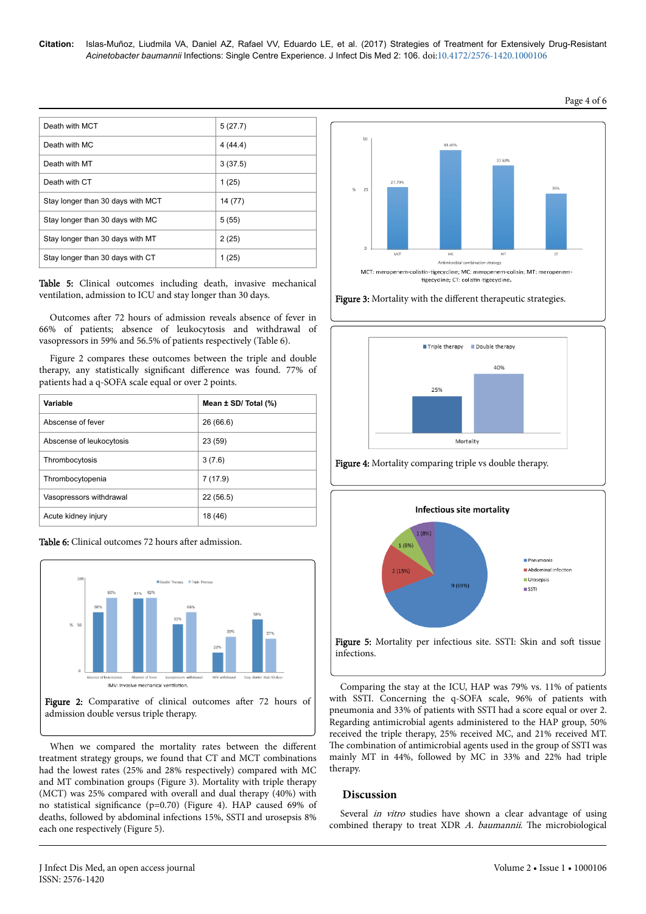| Death with MCT                    | 5(27.7) |
|-----------------------------------|---------|
| Death with MC                     | 4(44.4) |
| Death with MT                     | 3(37.5) |
| Death with CT                     | 1(25)   |
| Stay longer than 30 days with MCT | 14 (77) |
| Stay longer than 30 days with MC  | 5(55)   |
| Stay longer than 30 days with MT  | 2(25)   |
| Stay longer than 30 days with CT  | 1 (25)  |

Table 5: Clinical outcomes including death, invasive mechanical ventilation, admission to ICU and stay longer than 30 days.

Outcomes after 72 hours of admission reveals absence of fever in 66% of patients; absence of leukocytosis and withdrawal of vasopressors in 59% and 56.5% of patients respectively (Table 6).

Figure 2 compares these outcomes between the triple and double therapy, any statistically significant difference was found. 77% of patients had a q-SOFA scale equal or over 2 points.

| Variable                 | Mean $\pm$ SD/ Total $(\%)$ |
|--------------------------|-----------------------------|
| Abscense of fever        | 26(66.6)                    |
| Abscense of leukocytosis | 23(59)                      |
| Thrombocytosis           | 3(7.6)                      |
| Thrombocytopenia         | 7(17.9)                     |
| Vasopressors withdrawal  | 22 (56.5)                   |
| Acute kidney injury      | 18 (46)                     |





When we compared the mortality rates between the different treatment strategy groups, we found that CT and MCT combinations had the lowest rates (25% and 28% respectively) compared with MC and MT combination groups (Figure 3). Mortality with triple therapy (MCT) was 25% compared with overall and dual therapy (40%) with no statistical significance (p=0.70) (Figure 4). HAP caused 69% of deaths, followed by abdominal infections 15%, SSTI and urosepsis 8% each one respectively (Figure 5).







Figure 4: Mortality comparing triple vs double therapy.



Comparing the stay at the ICU, HAP was 79% vs. 11% of patients with SSTI. Concerning the q-SOFA scale, 96% of patients with pneumonia and 33% of patients with SSTI had a score equal or over 2. Regarding antimicrobial agents administered to the HAP group, 50% received the triple therapy, 25% received MC, and 21% received MT. The combination of antimicrobial agents used in the group of SSTI was mainly MT in 44%, followed by MC in 33% and 22% had triple therapy.

#### **Discussion**

Several *in vitro* studies have shown a clear advantage of using combined therapy to treat XDR A. baumannii. The microbiological

## Page 4 of 6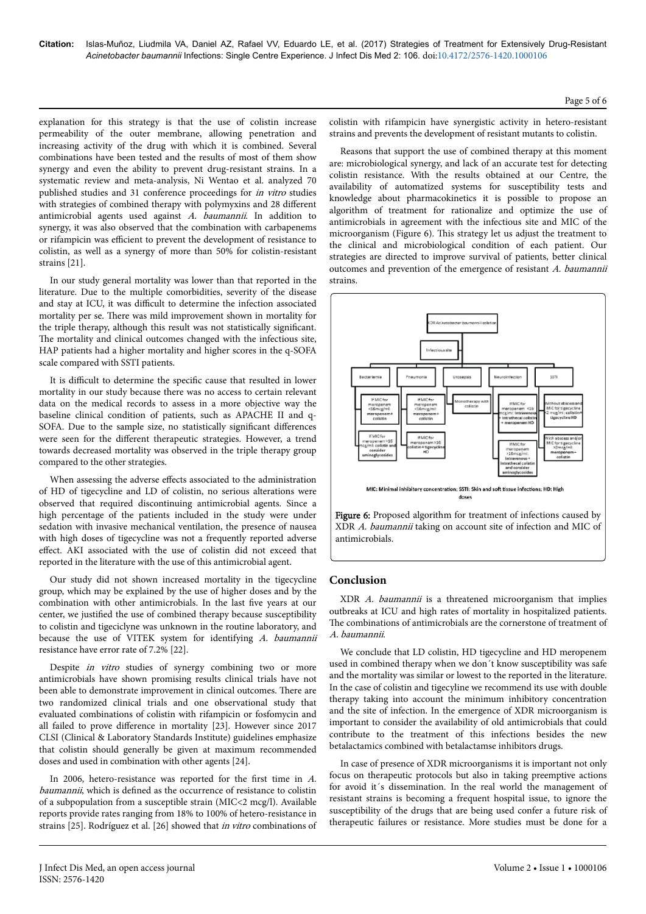explanation for this strategy is that the use of colistin increase permeability of the outer membrane, allowing penetration and increasing activity of the drug with which it is combined. Several combinations have been tested and the results of most of them show synergy and even the ability to prevent drug-resistant strains. In a systematic review and meta-analysis, Ni Wentao et al. analyzed 70 published studies and 31 conference proceedings for in vitro studies with strategies of combined therapy with polymyxins and 28 different antimicrobial agents used against A. baumannii. In addition to synergy, it was also observed that the combination with carbapenems or rifampicin was efficient to prevent the development of resistance to colistin, as well as a synergy of more than 50% for colistin-resistant strains [21].

In our study general mortality was lower than that reported in the literature. Due to the multiple comorbidities, severity of the disease and stay at ICU, it was difficult to determine the infection associated mortality per se. Нere was mild improvement shown in mortality for the triple therapy, although this result was not statistically significant. The mortality and clinical outcomes changed with the infectious site, HAP patients had a higher mortality and higher scores in the q-SOFA scale compared with SSTI patients.

It is difficult to determine the specific cause that resulted in lower mortality in our study because there was no access to certain relevant data on the medical records to assess in a more objective way the baseline clinical condition of patients, such as APACHE II and q-SOFA. Due to the sample size, no statistically significant differences were seen for the different therapeutic strategies. However, a trend towards decreased mortality was observed in the triple therapy group compared to the other strategies.

When assessing the adverse effects associated to the administration of HD of tigecycline and LD of colistin, no serious alterations were observed that required discontinuing antimicrobial agents. Since a high percentage of the patients included in the study were under sedation with invasive mechanical ventilation, the presence of nausea with high doses of tigecycline was not a frequently reported adverse effect. AKI associated with the use of colistin did not exceed that reported in the literature with the use of this antimicrobial agent.

Our study did not shown increased mortality in the tigecycline group, which may be explained by the use of higher doses and by the combination with other antimicrobials. In the last five years at our center, we justified the use of combined therapy because susceptibility to colistin and tigeciclyne was unknown in the routine laboratory, and because the use of VITEK system for identifying A. baumannii resistance have error rate of 7.2% [22].

Despite in vitro studies of synergy combining two or more antimicrobials have shown promising results clinical trials have not been able to demonstrate improvement in clinical outcomes. Нere are two randomized clinical trials and one observational study that evaluated combinations of colistin with rifampicin or fosfomycin and all failed to prove difference in mortality [23]. However since 2017 CLSI (Clinical & Laboratory Standards Institute) guidelines emphasize that colistin should generally be given at maximum recommended doses and used in combination with other agents [24].

In 2006, hetero-resistance was reported for the first time in A. baumannii, which is defined as the occurrence of resistance to colistin of a subpopulation from a susceptible strain (MIC<2 mcg/l). Available reports provide rates ranging from 18% to 100% of hetero-resistance in strains [25]. Rodríguez et al. [26] showed that in vitro combinations of colistin with rifampicin have synergistic activity in hetero-resistant strains and prevents the development of resistant mutants to colistin.

Reasons that support the use of combined therapy at this moment are: microbiological synergy, and lack of an accurate test for detecting colistin resistance. With the results obtained at our Centre, the availability of automatized systems for susceptibility tests and knowledge about pharmacokinetics it is possible to propose an algorithm of treatment for rationalize and optimize the use of antimicrobials in agreement with the infectious site and MIC of the microorganism (Figure 6). Нis strategy let us adjust the treatment to the clinical and microbiological condition of each patient. Our strategies are directed to improve survival of patients, better clinical outcomes and prevention of the emergence of resistant A. baumannii strains.





#### **Conclusion**

XDR A. baumannii is a threatened microorganism that implies outbreaks at ICU and high rates of mortality in hospitalized patients. The combinations of antimicrobials are the cornerstone of treatment of A. baumannii.

We conclude that LD colistin, HD tigecycline and HD meropenem used in combined therapy when we don´t know susceptibility was safe and the mortality was similar or lowest to the reported in the literature. In the case of colistin and tigecyline we recommend its use with double therapy taking into account the minimum inhibitory concentration and the site of infection. In the emergence of XDR microorganism is important to consider the availability of old antimicrobials that could contribute to the treatment of this infections besides the new betalactamics combined with betalactamse inhibitors drugs.

In case of presence of XDR microorganisms it is important not only focus on therapeutic protocols but also in taking preemptive actions for avoid it´s dissemination. In the real world the management of resistant strains is becoming a frequent hospital issue, to ignore the susceptibility of the drugs that are being used confer a future risk of therapeutic failures or resistance. More studies must be done for a